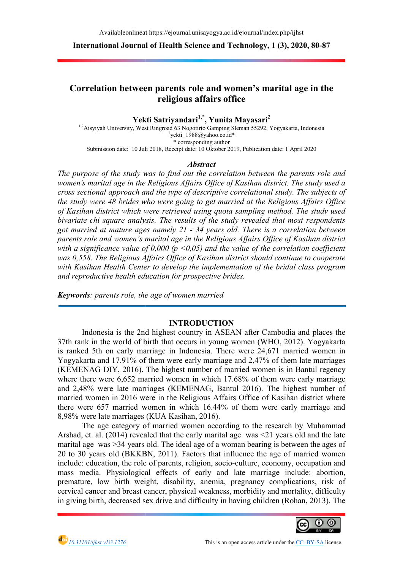International Journal of Health Science and Technology, 1 (3), 20

# Correlation between parents role and women's marital age in the<br>religious affairs office

Yekti Satriyandari<sup>1,\*</sup>, Yunita Mayasari<sup>2</sup>

<sup>1,2</sup>Aisyiyah University, West Ringroad 63 Nogotirto Gamping Sleman 55292, Yogyakarta, Indonesia Submission date: 10 Juli 2018 10 2018, Receipt date: 10 Oktober 2019, Publication date: 1 April 2020  ${}^{1}$ yekti\_1988@yahoo.co.id\* \* corresponding author

#### Abstract

The purpose of the study was to find out the correlation between the parents role and The purpose of the study was to find out the correlation between the parents role and<br>women's marital age in the Religious Affairs Office of Kasihan district. The study used a cross sectional approach and the type of descriptive correlational study. The subjects of the study were 48 brides who were going to get married at the Religious Affairs Office of Kasihan district which were retrieved using quota sampling method. The study used bivariate chi square analysis. The results of the study revealed that most respondents bivariate chi square analysis. The results of the study revealed that most respondents<br>got married at mature ages namely 21 - 34 years old. There is a correlation between parents role and women's marital age in the Religious Affairs Office of Kasihan district with a significance value of 0,000 ( $p \le 0.05$ ) and the value of the correlation coefficient was 0,558. The Religious Affairs Office of Kasihan district should continue to cooperate was 0,558. The Religious Affairs Office of Kasihan district should continue to cooperate<br>with Kasihan Health Center to develop the implementation of the bridal class program and reproductive health education for prospective brides. cross sectional approach and the type of descriptive correlational study. The subjects of<br>the study were 48 brides who were going to get married at the Religious Affairs Office<br>of Kasihan district which were retrieved usin A valiable antimed lines/signamal.unisayogya.ac.id/goomal/index.php/index.<br>
International Journal of Health Science and Technology, 1 (3), 2020, 80-87<br>
Correlation between parents role and women's marital age in the<br>
reli using quota sampling method. The study used<br>ts of the study revealed that most respondents<br> $\cdot$  34 years old. There is a correlation between<br>the Religious Affairs Office of Kasihan district<br>05) and the value of the correl

Keywords: parents role, the age of women married

# INTRODUCTION

Indonesia is the 2nd highest country in ASEAN after Cambodia and places the 37th rank in the world of birth that occurs in young women (WHO, 2012). Yogyakarta is ranked 5th on early marriage in Indonesia. There were 24,671 married women in Yogyakarta and 17.91% of them were early marriage and 2,47% of them late marriages (KEMENAG DIY, 2016). The highest number of married women is in Bantul regency where there were 6,652 married women in which 17.68% of them were early marriage and 2,48% were late marriages (KEMENAG, Bantul 2016). The highest number o married women in 2016 were in the Religious Affairs Office of Kasihan district where there were 657 married women in which 16.44% of them were early marriage and 8,98% were late marriages (KUA Kasihan, 2016).<br>The age category of married women according to the research by Muhammad 8,98% were late marriages (KUA Kasihan, 2016). in the world of birth that occurs in young women (WHO, 2012). Yogyakarta<br>5th on early marriage in Indonesia. There were 24,671 married women in<br>a and 17.91% of them were early marriage and 2,47% of them late marriages ENAG DIY, 2016). The highest number of married women is in Bantul regency<br>there were 6,652 married women in which 17.68% of them were early marriage<br>48% were late marriages (KEMENAG, Bantul 2016). The highest number of<br>d w of

The age category of married women according to the research by Muhammad Arshad, et. al. (2014) revealed that the early marital age was <21 years old and the late marital age was >34 years old. The ideal age of a woman bearing is between the ages of 20 to 30 years old (BKKBN, 2011). Factors that influence the age of married women include: education, the role of parents, religion, socio-culture, economy, occupation and mass media. Physiological effects of early and late marriage include: abortion, premature, low birth weight, disability, anemia, pre mass media. Physiological effects of early and late marriage include: abortion, mass media. Physiological effects of early and late marriage include: abortion, premature, low birth weight, disability, anemia, pregnancy complications, risk of cervical cancer and breast cancer, physical weakness, morbidity and mortality, difficulty in giving birth, decreased sex drive and difficulty in having children (Rohan, 2013). The t. al. (2014) revealed that the early marital age was  $\leq$ 21 years old and the was  $>$ 34 years old. The ideal age of a woman bearing is between the age or married wears old (BKKBN, 2011). Factors that influence the age o ous Affairs Office of Kasihan district where<br>16.44% of them were early marriage and<br>2016).<br>en according to the research by Muhammad<br>y marital age was <21 years old and the late<br>ge of a woman bearing is between the ages of<br>



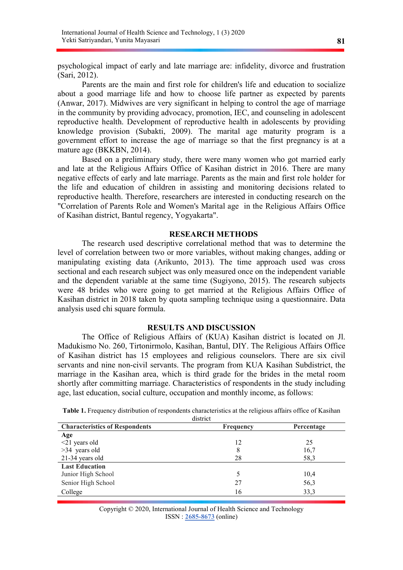psychological impact of early and late marriage are: infidelity, divorce and frustration (Sari, 2012).

Parents are the main and first role for children's life and education to socialize about a good marriage life and how to choose life partner as expected by parents (Anwar, 2017). Midwives are very significant in helping to control the age of marriage in the community by providing advocacy, promotion, IEC, and counseling in adolescent reproductive health. Development of reproductive health in adolescents by providing knowledge provision (Subakti, 2009). The marital age maturity program is a government effort to increase the age of marriage so that the first pregnancy is at a mature age (BKKBN, 2014).

Based on a preliminary study, there were many women who got married early and late at the Religious Affairs Office of Kasihan district in 2016. There are many negative effects of early and late marriage. Parents as the main and first role holder for the life and education of children in assisting and monitoring decisions related to reproductive health. Therefore, researchers are interested in conducting research on the "Correlation of Parents Role and Women's Marital age in the Religious Affairs Office of Kasihan district, Bantul regency, Yogyakarta".

# RESEARCH METHODS

The research used descriptive correlational method that was to determine the level of correlation between two or more variables, without making changes, adding or manipulating existing data (Arikunto, 2013). The time approach used was cross sectional and each research subject was only measured once on the independent variable and the dependent variable at the same time (Sugiyono, 2015). The research subjects were 48 brides who were going to get married at the Religious Affairs Office of Kasihan district in 2018 taken by quota sampling technique using a questionnaire. Data analysis used chi square formula.

### RESULTS AND DISCUSSION

The Office of Religious Affairs of (KUA) Kasihan district is located on Jl. Madukismo No. 260, Tirtonirmolo, Kasihan, Bantul, DIY. The Religious Affairs Office of Kasihan district has 15 employees and religious counselors. There are six civil servants and nine non-civil servants. The program from KUA Kasihan Subdistrict, the marriage in the Kasihan area, which is third grade for the brides in the metal room shortly after committing marriage. Characteristics of respondents in the study including age, last education, social culture, occupation and monthly income, as follows:

| Table 1. Frequency distribution of respondents characteristics at the religious affairs office of Kasihan |
|-----------------------------------------------------------------------------------------------------------|
| district                                                                                                  |

| <b>Characteristics of Respondents</b> | Frequency | Percentage |
|---------------------------------------|-----------|------------|
| Age                                   |           |            |
| $\leq$ 21 years old                   | 12        | 25         |
| >34 years old                         | 8         | 16,7       |
| 21-34 years old                       | 28        | 58,3       |
| <b>Last Education</b>                 |           |            |
| Junior High School                    |           | 10,4       |
| Senior High School                    | 27        | 56,3       |
| College                               | 16        | 33,3       |

Copyright © 2020, International Journal of Health Science and Technology ISSN : 2685-8673 (online)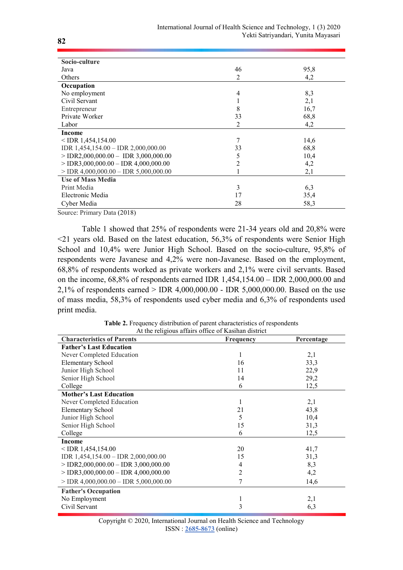| Socio-culture                           |                |      |
|-----------------------------------------|----------------|------|
| Java                                    | 46             | 95,8 |
| Others                                  | 2              | 4,2  |
| Occupation                              |                |      |
| No employment                           | $\overline{4}$ | 8,3  |
| Civil Servant                           |                | 2,1  |
| Entrepreneur                            | 8              | 16,7 |
| Private Worker                          | 33             | 68,8 |
| Labor                                   | 2              | 4,2  |
| <b>Income</b>                           |                |      |
| $<$ IDR 1,454,154.00                    | 7              | 14,6 |
| IDR $1,454,154.00 -$ IDR $2,000,000.00$ | 33             | 68,8 |
| $>$ IDR2,000,000.00 – IDR 3,000,000.00  | 5              | 10,4 |
| $>$ IDR3,000,000.00 – IDR 4,000,000.00  | 2              | 4,2  |
| $>$ IDR 4,000,000.00 – IDR 5,000,000.00 |                | 2,1  |
| <b>Use of Mass Media</b>                |                |      |
| Print Media                             | 3              | 6,3  |
| Electronic Media                        | 17             | 35,4 |
| Cyber Media                             | 28             | 58,3 |

Source: Primary Data (2018)

Table 1 showed that 25% of respondents were 21-34 years old and 20,8% were  $\leq$ 21 years old. Based on the latest education, 56,3% of respondents were Senior High School and 10,4% were Junior High School. Based on the socio-culture, 95,8% of respondents were Javanese and 4,2% were non-Javanese. Based on the employment, 68,8% of respondents worked as private workers and 2,1% were civil servants. Based on the income, 68,8% of respondents earned IDR 1,454,154.00 – IDR 2,000,000.00 and 2,1% of respondents earned > IDR 4,000,000.00 - IDR 5,000,000.00. Based on the use of mass media, 58,3% of respondents used cyber media and 6,3% of respondents used print media.

| At the religious arians office of Kashian district |                |            |  |  |
|----------------------------------------------------|----------------|------------|--|--|
| <b>Characteristics of Parents</b>                  | Frequency      | Percentage |  |  |
| <b>Father's Last Education</b>                     |                |            |  |  |
| Never Completed Education                          | 1              | 2,1        |  |  |
| <b>Elementary School</b>                           | 16             | 33,3       |  |  |
| Junior High School                                 | 11             | 22,9       |  |  |
| Senior High School                                 | 14             | 29,2       |  |  |
| College                                            | 6              | 12,5       |  |  |
| <b>Mother's Last Education</b>                     |                |            |  |  |
| Never Completed Education                          | 1              | 2,1        |  |  |
| Elementary School                                  | 21             | 43,8       |  |  |
| Junior High School                                 | 5              | 10,4       |  |  |
| Senior High School                                 | 15             | 31,3       |  |  |
| College                                            | 6              | 12,5       |  |  |
| Income                                             |                |            |  |  |
| $<$ IDR 1,454,154.00                               | 20             | 41,7       |  |  |
| IDR 1,454,154.00 - IDR 2,000,000.00                | 15             | 31,3       |  |  |
| $>$ IDR2,000,000.00 – IDR 3,000,000.00             | $\overline{4}$ | 8,3        |  |  |
| $>$ IDR3,000,000.00 – IDR 4,000,000.00             | 2              | 4,2        |  |  |
| $>$ IDR 4,000,000.00 – IDR 5,000,000.00            | 7              | 14,6       |  |  |
| <b>Father's Occupation</b>                         |                |            |  |  |
| No Employment                                      | 1              | 2,1        |  |  |
| Civil Servant                                      | 3              | 6,3        |  |  |

Table 2. Frequency distribution of parent characteristics of respondents At the religious affairs office of Kasihan district

| Copyright © 2020, International Journal on Health Science and Technology |
|--------------------------------------------------------------------------|
| $ISSN: 2685-8673$ (online)                                               |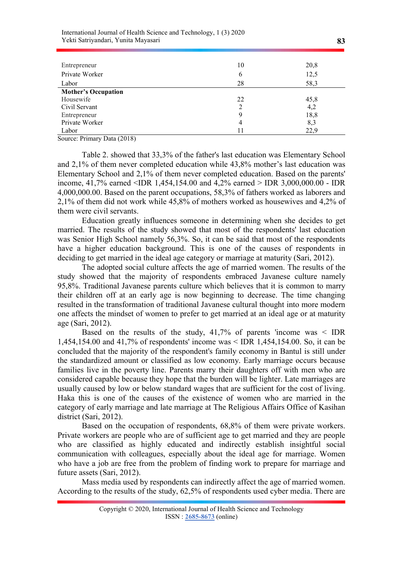| Entrepreneur               | 10 | 20,8 |
|----------------------------|----|------|
| Private Worker             | 6  | 12,5 |
| Labor                      | 28 | 58,3 |
| <b>Mother's Occupation</b> |    |      |
| Housewife                  | 22 | 45,8 |
| Civil Servant              | 2  | 4,2  |
| Entrepreneur               | 9  | 18,8 |
| Private Worker             | 4  | 8,3  |
| Labor                      | 11 | 22,9 |

Source: Primary Data (2018)

Table 2. showed that 33,3% of the father's last education was Elementary School and 2,1% of them never completed education while 43,8% mother's last education was Elementary School and 2,1% of them never completed education. Based on the parents' income, 41,7% earned <IDR 1,454,154.00 and 4,2% earned > IDR 3,000,000.00 - IDR 4,000,000.00. Based on the parent occupations, 58,3% of fathers worked as laborers and 2,1% of them did not work while 45,8% of mothers worked as housewives and 4,2% of them were civil servants.

Education greatly influences someone in determining when she decides to get married. The results of the study showed that most of the respondents' last education was Senior High School namely 56,3%. So, it can be said that most of the respondents have a higher education background. This is one of the causes of respondents in deciding to get married in the ideal age category or marriage at maturity (Sari, 2012).

The adopted social culture affects the age of married women. The results of the study showed that the majority of respondents embraced Javanese culture namely 95,8%. Traditional Javanese parents culture which believes that it is common to marry their children off at an early age is now beginning to decrease. The time changing resulted in the transformation of traditional Javanese cultural thought into more modern one affects the mindset of women to prefer to get married at an ideal age or at maturity age (Sari, 2012).

Based on the results of the study,  $41,7\%$  of parents 'income was  $\leq$  IDR 1,454,154.00 and 41,7% of respondents' income was < IDR 1,454,154.00. So, it can be concluded that the majority of the respondent's family economy in Bantul is still under the standardized amount or classified as low economy. Early marriage occurs because families live in the poverty line. Parents marry their daughters off with men who are considered capable because they hope that the burden will be lighter. Late marriages are usually caused by low or below standard wages that are sufficient for the cost of living. Haka this is one of the causes of the existence of women who are married in the category of early marriage and late marriage at The Religious Affairs Office of Kasihan district (Sari, 2012).

Based on the occupation of respondents, 68,8% of them were private workers. Private workers are people who are of sufficient age to get married and they are people who are classified as highly educated and indirectly establish insightful social communication with colleagues, especially about the ideal age for marriage. Women who have a job are free from the problem of finding work to prepare for marriage and future assets (Sari, 2012).

Mass media used by respondents can indirectly affect the age of married women. According to the results of the study, 62,5% of respondents used cyber media. There are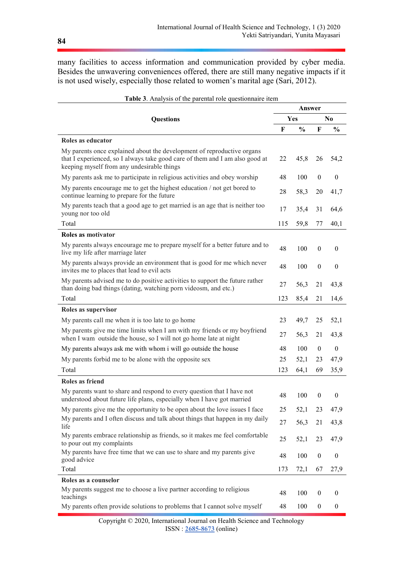many facilities to access information and communication provided by cyber media. Besides the unwavering conveniences offered, there are still many negative impacts if it is not used wisely, especially those related to women's marital age (Sari, 2012).

|                                                                                                                                                                                                      |     | Answer        |                  |                  |  |
|------------------------------------------------------------------------------------------------------------------------------------------------------------------------------------------------------|-----|---------------|------------------|------------------|--|
| Questions                                                                                                                                                                                            |     | Yes           |                  | N <sub>0</sub>   |  |
|                                                                                                                                                                                                      | F   | $\frac{0}{0}$ | F                | $\frac{0}{0}$    |  |
| Roles as educator                                                                                                                                                                                    |     |               |                  |                  |  |
| My parents once explained about the development of reproductive organs<br>that I experienced, so I always take good care of them and I am also good at<br>keeping myself from any undesirable things | 22  | 45,8          | 26               | 54,2             |  |
| My parents ask me to participate in religious activities and obey worship                                                                                                                            | 48  | 100           | $\boldsymbol{0}$ | $\boldsymbol{0}$ |  |
| My parents encourage me to get the highest education / not get bored to<br>continue learning to prepare for the future                                                                               | 28  | 58,3          | 20               | 41,7             |  |
| My parents teach that a good age to get married is an age that is neither too<br>young nor too old                                                                                                   | 17  | 35,4          | 31               | 64,6             |  |
| Total                                                                                                                                                                                                | 115 | 59,8          | 77               | 40,1             |  |
| Roles as motivator                                                                                                                                                                                   |     |               |                  |                  |  |
| My parents always encourage me to prepare myself for a better future and to<br>live my life after marriage later                                                                                     | 48  | 100           | $\mathbf{0}$     | $\bf{0}$         |  |
| My parents always provide an environment that is good for me which never<br>invites me to places that lead to evil acts                                                                              | 48  | 100           | $\boldsymbol{0}$ | $\bf{0}$         |  |
| My parents advised me to do positive activities to support the future rather<br>than doing bad things (dating, watching porn videosm, and etc.)                                                      | 27  | 56,3          | 21               | 43,8             |  |
| Total                                                                                                                                                                                                | 123 | 85,4          | 21               | 14,6             |  |
| Roles as supervisor                                                                                                                                                                                  |     |               |                  |                  |  |
| My parents call me when it is too late to go home                                                                                                                                                    | 23  | 49,7          | 25               | 52,1             |  |
| My parents give me time limits when I am with my friends or my boyfriend<br>when I wam outside the house, so I will not go home late at night                                                        | 27  | 56,3          | 21               | 43,8             |  |
| My parents always ask me with whom i will go outside the house                                                                                                                                       | 48  | 100           | $\mathbf{0}$     | $\mathbf{0}$     |  |
| My parents forbid me to be alone with the opposite sex                                                                                                                                               | 25  | 52,1          | 23               | 47,9             |  |
| Total                                                                                                                                                                                                | 123 | 64,1          | 69               | 35,9             |  |
| Roles as friend                                                                                                                                                                                      |     |               |                  |                  |  |
| My parents want to share and respond to every question that I have not<br>understood about future life plans, especially when I have got married                                                     | 48  | 100           | $\overline{0}$   | $\overline{0}$   |  |
| My parents give me the opportunity to be open about the love issues I face                                                                                                                           | 25  | 52,1          | 23               | 47,9             |  |
| My parents and I often discuss and talk about things that happen in my daily<br>life                                                                                                                 | 27  | 56,3          | 21               | 43,8             |  |
| My parents embrace relationship as friends, so it makes me feel comfortable<br>to pour out my complaints                                                                                             | 25  | 52,1          | 23               | 47,9             |  |
| My parents have free time that we can use to share and my parents give<br>good advice                                                                                                                | 48  | 100           | $\boldsymbol{0}$ | $\boldsymbol{0}$ |  |
| Total                                                                                                                                                                                                | 173 | 72,1          | 67               | 27,9             |  |
| Roles as a counselor                                                                                                                                                                                 |     |               |                  |                  |  |
| My parents suggest me to choose a live partner according to religious<br>teachings                                                                                                                   | 48  | 100           | $\boldsymbol{0}$ | $\boldsymbol{0}$ |  |
| My parents often provide solutions to problems that I cannot solve myself                                                                                                                            | 48  | 100           | $\boldsymbol{0}$ | $\boldsymbol{0}$ |  |

| <b>Table 3.</b> Analysis of the parental role question aire item |  |  |
|------------------------------------------------------------------|--|--|
|                                                                  |  |  |

Copyright © 2020, International Journal on Health Science and Technology ISSN : 2685-8673 (online)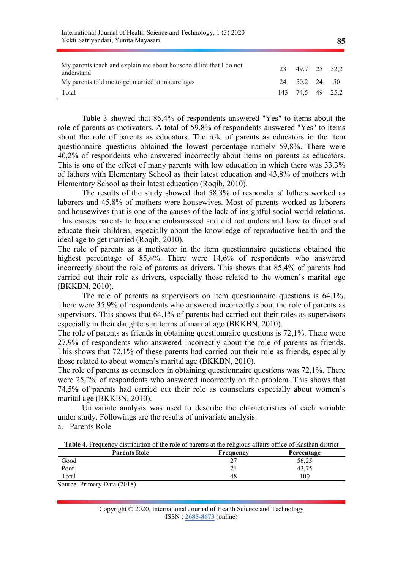| THREE REPORTED TO THE PLANCE OF SERVICE AND TREATMENT CONTINUING $\mathbf{y}$ , the service of $2020$<br>Yekti Satriyandari, Yunita Mayasari |     |               |    | 85   |
|----------------------------------------------------------------------------------------------------------------------------------------------|-----|---------------|----|------|
| My parents teach and explain me about household life that I do not<br>understand                                                             | 23  | 49.7 25 52.2  |    |      |
| My parents told me to get married at mature ages                                                                                             |     | 24 50,2 24 50 |    |      |
| Total                                                                                                                                        | 143 | 74.5          | 49 | 25.2 |

International Journal of Health Science and Technology, 1 (3) 2020

Table 3 showed that 85,4% of respondents answered "Yes" to items about the role of parents as motivators. A total of 59.8% of respondents answered "Yes" to items about the role of parents as educators. The role of parents as educators in the item questionnaire questions obtained the lowest percentage namely 59,8%. There were 40,2% of respondents who answered incorrectly about items on parents as educators. This is one of the effect of many parents with low education in which there was 33.3% of fathers with Elementary School as their latest education and 43,8% of mothers with Elementary School as their latest education (Roqib, 2010).

The results of the study showed that 58,3% of respondents' fathers worked as laborers and 45,8% of mothers were housewives. Most of parents worked as laborers and housewives that is one of the causes of the lack of insightful social world relations. This causes parents to become embarrassed and did not understand how to direct and educate their children, especially about the knowledge of reproductive health and the ideal age to get married (Roqib, 2010).

The role of parents as a motivator in the item questionnaire questions obtained the highest percentage of 85,4%. There were 14,6% of respondents who answered incorrectly about the role of parents as drivers. This shows that 85,4% of parents had carried out their role as drivers, especially those related to the women's marital age (BKKBN, 2010).

The role of parents as supervisors on item questionnaire questions is 64,1%. There were 35,9% of respondents who answered incorrectly about the role of parents as supervisors. This shows that 64,1% of parents had carried out their roles as supervisors especially in their daughters in terms of marital age (BKKBN, 2010).

The role of parents as friends in obtaining questionnaire questions is 72,1%. There were 27,9% of respondents who answered incorrectly about the role of parents as friends. This shows that 72,1% of these parents had carried out their role as friends, especially those related to about women's marital age (BKKBN, 2010).

The role of parents as counselors in obtaining questionnaire questions was 72,1%. There were 25,2% of respondents who answered incorrectly on the problem. This shows that 74,5% of parents had carried out their role as counselors especially about women's marital age (BKKBN, 2010).

Univariate analysis was used to describe the characteristics of each variable under study. Followings are the results of univariate analysis:

a. Parents Role

| <b>Table 4.</b> Frequency distribution of the role of parents at the religious affairs office of Kasihan district |  |
|-------------------------------------------------------------------------------------------------------------------|--|
|-------------------------------------------------------------------------------------------------------------------|--|

| <b>Parents Role</b>         | <b>Frequency</b> | Percentage |
|-----------------------------|------------------|------------|
| Good                        |                  | 56,25      |
| Poor                        |                  | 43,75      |
| Total                       | 48               | 100        |
| Source: Primary Data (2018) |                  |            |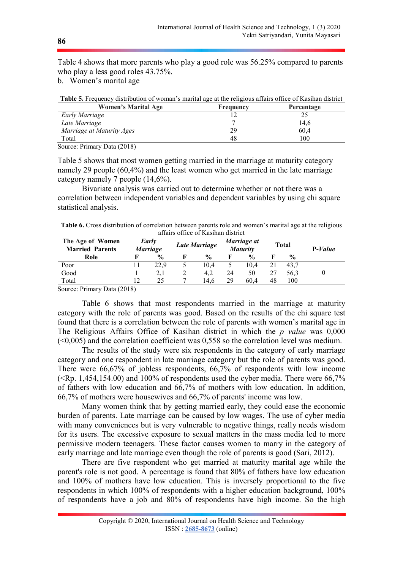Table 4 shows that more parents who play a good role was 56.25% compared to parents who play a less good roles 43.75%.

b. Women's marital age

| Table 5. Frequency distribution of woman's marital age at the religious affairs office of Kasihan district |           |            |  |
|------------------------------------------------------------------------------------------------------------|-----------|------------|--|
| <b>Women's Marital Age</b>                                                                                 | Frequency | Percentage |  |
| Early Marriage                                                                                             |           |            |  |
| Late Marriage                                                                                              |           | 14,6       |  |
| Marriage at Maturity Ages                                                                                  | 29        | 60,4       |  |
| Total                                                                                                      | 48        | 100        |  |

Source: Primary Data (2018)

Table 5 shows that most women getting married in the marriage at maturity category namely 29 people (60,4%) and the least women who get married in the late marriage category namely 7 people (14,6%).

Bivariate analysis was carried out to determine whether or not there was a correlation between independent variables and dependent variables by using chi square statistical analysis.

Table 6. Cross distribution of correlation between parents role and women's marital age at the religious affairs office of Kasihan district

| The Age of Women<br><b>Married Parents</b> | Early<br><i>Marriage</i> |               | <b>Late Marriage</b> |               | Marriage at<br><b>Maturity</b> |               | <b>Total</b> |               | $P-Value$ |
|--------------------------------------------|--------------------------|---------------|----------------------|---------------|--------------------------------|---------------|--------------|---------------|-----------|
| Role                                       |                          | $\frac{0}{0}$ |                      | $\frac{0}{0}$ |                                | $\frac{0}{0}$ |              | $\frac{0}{0}$ |           |
| Poor                                       |                          | 22.9          |                      | 10.4          |                                | 10.4          | 21           | 43.7          |           |
| Good                                       |                          | 2,1           | ∠                    | 4.2           | 24                             | 50            | 27           | 56.3          |           |
| Total                                      | 12                       | 25            |                      | 14.6          | 29                             | 60.4          | 48           | 100           |           |

Source: Primary Data (2018)

Table 6 shows that most respondents married in the marriage at maturity category with the role of parents was good. Based on the results of the chi square test found that there is a correlation between the role of parents with women's marital age in The Religious Affairs Office of Kasihan district in which the  $p$  value was  $0.000$  $(\leq 0.005)$  and the correlation coefficient was 0.558 so the correlation level was medium.

The results of the study were six respondents in the category of early marriage category and one respondent in late marriage category but the role of parents was good. There were 66,67% of jobless respondents, 66,7% of respondents with low income  $(\langle Rp. 1,454,154.00)$  and 100% of respondents used the cyber media. There were 66,7% of fathers with low education and 66,7% of mothers with low education. In addition, 66,7% of mothers were housewives and 66,7% of parents' income was low.

Many women think that by getting married early, they could ease the economic burden of parents. Late marriage can be caused by low wages. The use of cyber media with many conveniences but is very vulnerable to negative things, really needs wisdom for its users. The excessive exposure to sexual matters in the mass media led to more permissive modern teenagers. These factor causes women to marry in the category of early marriage and late marriage even though the role of parents is good (Sari, 2012).

There are five respondent who get married at maturity marital age while the parent's role is not good. A percentage is found that 80% of fathers have low education and 100% of mothers have low education. This is inversely proportional to the five respondents in which 100% of respondents with a higher education background, 100% of respondents have a job and 80% of respondents have high income. So the high